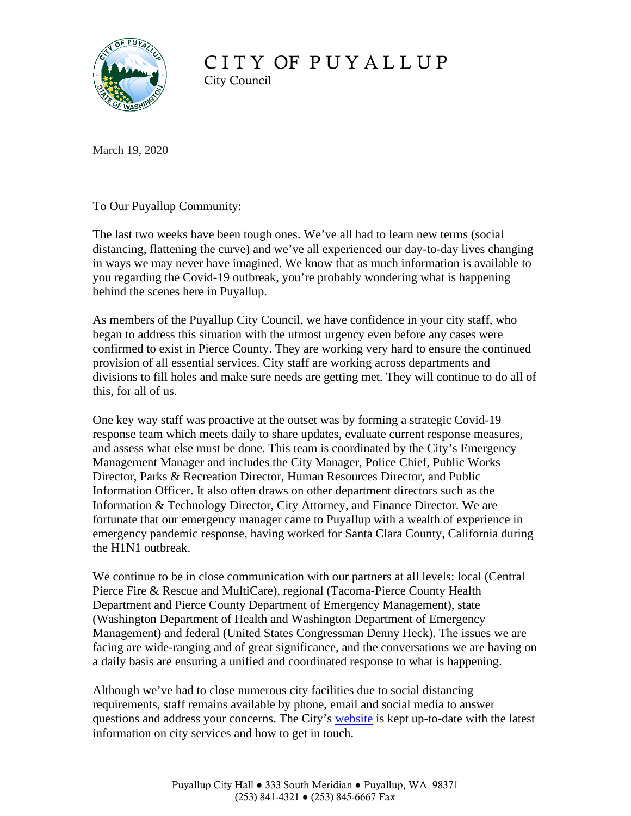

## CITY OF PUYALLUP

City Council

March 19, 2020

To Our Puyallup Community:

The last two weeks have been tough ones. We've all had to learn new terms (social distancing, flattening the curve) and we've all experienced our day-to-day lives changing in ways we may never have imagined. We know that as much information is available to you regarding the Covid-19 outbreak, you're probably wondering what is happening behind the scenes here in Puyallup.

As members of the Puyallup City Council, we have confidence in your city staff, who began to address this situation with the utmost urgency even before any cases were confirmed to exist in Pierce County. They are working very hard to ensure the continued provision of all essential services. City staff are working across departments and divisions to fill holes and make sure needs are getting met. They will continue to do all of this, for all of us.

One key way staff was proactive at the outset was by forming a strategic Covid-19 response team which meets daily to share updates, evaluate current response measures, and assess what else must be done. This team is coordinated by the City's Emergency Management Manager and includes the City Manager, Police Chief, Public Works Director, Parks & Recreation Director, Human Resources Director, and Public Information Officer. It also often draws on other department directors such as the Information & Technology Director, City Attorney, and Finance Director. We are fortunate that our emergency manager came to Puyallup with a wealth of experience in emergency pandemic response, having worked for Santa Clara County, California during the H1N1 outbreak.

We continue to be in close communication with our partners at all levels: local (Central Pierce Fire & Rescue and MultiCare), regional (Tacoma-Pierce County Health Department and Pierce County Department of Emergency Management), state (Washington Department of Health and Washington Department of Emergency Management) and federal (United States Congressman Denny Heck). The issues we are facing are wide-ranging and of great significance, and the conversations we are having on a daily basis are ensuring a unified and coordinated response to what is happening.

Although we've had to close numerous city facilities due to social distancing requirements, staff remains available by phone, email and social media to answer questions and address your concerns. The City's [website](http://www.cityofpuyallup.org/1701/Covid-19-Informawebsite) is kept up-to-date with the latest information on city services and how to get in touch.